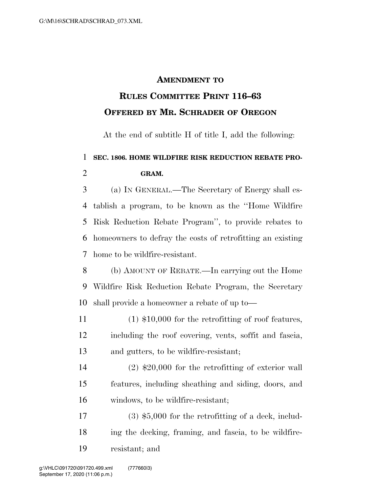**GRAM.** 

## **AMENDMENT TO**

## **RULES COMMITTEE PRINT 116–63 OFFERED BY MR. SCHRADER OF OREGON**

At the end of subtitle H of title I, add the following:

## **SEC. 1806. HOME WILDFIRE RISK REDUCTION REBATE PRO-**

## (a) IN GENERAL.—The Secretary of Energy shall es- tablish a program, to be known as the ''Home Wildfire Risk Reduction Rebate Program'', to provide rebates to homeowners to defray the costs of retrofitting an existing home to be wildfire-resistant.

 (b) AMOUNT OF REBATE.—In carrying out the Home Wildfire Risk Reduction Rebate Program, the Secretary shall provide a homeowner a rebate of up to—

 (1) \$10,000 for the retrofitting of roof features, including the roof covering, vents, soffit and fascia, and gutters, to be wildfire-resistant;

 (2) \$20,000 for the retrofitting of exterior wall features, including sheathing and siding, doors, and windows, to be wildfire-resistant;

 (3) \$5,000 for the retrofitting of a deck, includ- ing the decking, framing, and fascia, to be wildfire-resistant; and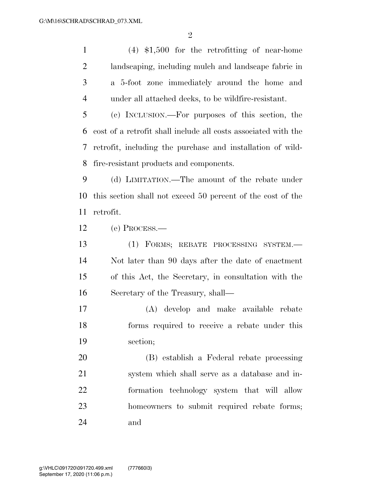(4) \$1,500 for the retrofitting of near-home landscaping, including mulch and landscape fabric in a 5-foot zone immediately around the home and under all attached decks, to be wildfire-resistant.

 (c) INCLUSION.—For purposes of this section, the cost of a retrofit shall include all costs associated with the retrofit, including the purchase and installation of wild-fire-resistant products and components.

 (d) LIMITATION.—The amount of the rebate under this section shall not exceed 50 percent of the cost of the retrofit.

(e) PROCESS.—

 (1) FORMS; REBATE PROCESSING SYSTEM.— Not later than 90 days after the date of enactment of this Act, the Secretary, in consultation with the Secretary of the Treasury, shall—

 (A) develop and make available rebate forms required to receive a rebate under this section;

 (B) establish a Federal rebate processing system which shall serve as a database and in- formation technology system that will allow homeowners to submit required rebate forms; and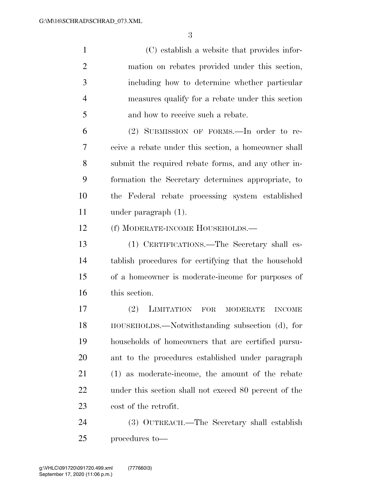(C) establish a website that provides infor- mation on rebates provided under this section, including how to determine whether particular measures qualify for a rebate under this section and how to receive such a rebate.

 (2) SUBMISSION OF FORMS.—In order to re- ceive a rebate under this section, a homeowner shall submit the required rebate forms, and any other in- formation the Secretary determines appropriate, to the Federal rebate processing system established under paragraph (1).

(f) MODERATE-INCOME HOUSEHOLDS.—

 (1) CERTIFICATIONS.—The Secretary shall es- tablish procedures for certifying that the household of a homeowner is moderate-income for purposes of this section.

 (2) LIMITATION FOR MODERATE INCOME HOUSEHOLDS.—Notwithstanding subsection (d), for households of homeowners that are certified pursu- ant to the procedures established under paragraph (1) as moderate-income, the amount of the rebate under this section shall not exceed 80 percent of the cost of the retrofit.

 (3) OUTREACH.—The Secretary shall establish procedures to